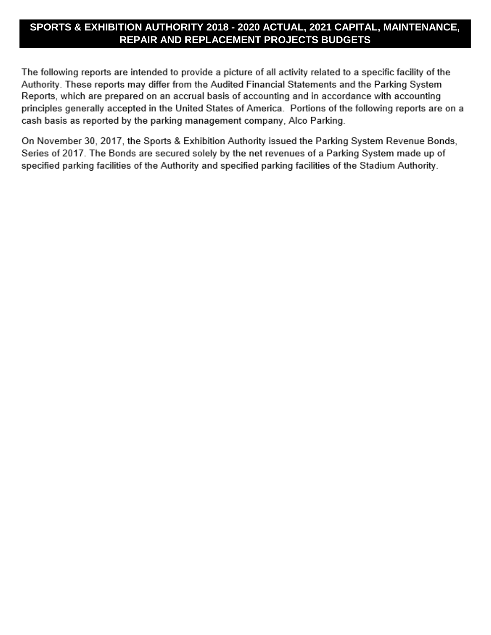## **SPORTS & EXHIBITION AUTHORITY 2018 - 2020 ACTUAL, 2021 CAPITAL, MAINTENANCE, REPAIR AND REPLACEMENT PROJECTS BUDGETS**

The following reports are intended to provide a picture of all activity related to a specific facility of the Authority. These reports may differ from the Audited Financial Statements and the Parking System Reports, which are prepared on an accrual basis of accounting and in accordance with accounting principles generally accepted in the United States of America. Portions of the following reports are on a cash basis as reported by the parking management company, Alco Parking.

On November 30, 2017, the Sports & Exhibition Authority issued the Parking System Revenue Bonds, Series of 2017. The Bonds are secured solely by the net revenues of a Parking System made up of specified parking facilities of the Authority and specified parking facilities of the Stadium Authority.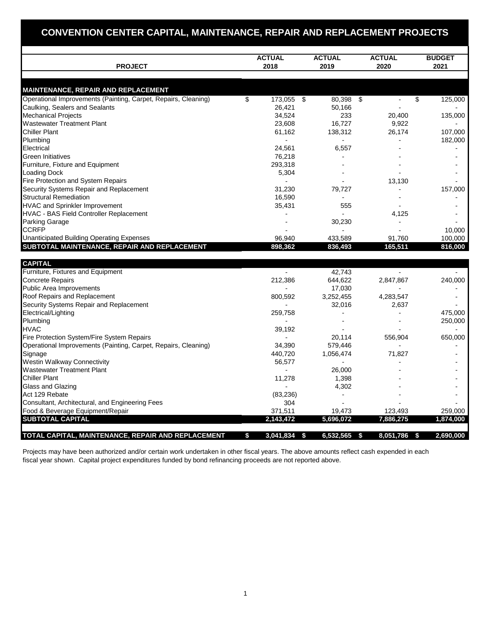## **CONVENTION CENTER CAPITAL, MAINTENANCE, REPAIR AND REPLACEMENT PROJECTS**

| <b>PROJECT</b>                                                 |    | <b>ACTUAL</b><br>2018 | <b>ACTUAL</b><br>2019 |  | <b>ACTUAL</b><br>2020 |    | <b>BUDGET</b><br>2021 |  |
|----------------------------------------------------------------|----|-----------------------|-----------------------|--|-----------------------|----|-----------------------|--|
|                                                                |    |                       |                       |  |                       |    |                       |  |
| <b>MAINTENANCE, REPAIR AND REPLACEMENT</b>                     |    |                       |                       |  |                       |    |                       |  |
| Operational Improvements (Painting, Carpet, Repairs, Cleaning) | \$ | 173,055               | \$<br>80,398 \$       |  |                       | \$ | 125,000               |  |
| Caulking, Sealers and Sealants                                 |    | 26,421                | 50,166                |  |                       |    |                       |  |
| <b>Mechanical Projects</b>                                     |    | 34,524                | 233                   |  | 20,400                |    | 135,000               |  |
| <b>Wastewater Treatment Plant</b>                              |    | 23,608                | 16,727                |  | 9,922                 |    |                       |  |
| <b>Chiller Plant</b>                                           |    | 61,162                | 138,312               |  | 26,174                |    | 107,000               |  |
| Plumbing                                                       |    |                       |                       |  |                       |    | 182,000               |  |
| Electrical                                                     |    | 24,561                | 6,557                 |  |                       |    |                       |  |
| <b>Green Initiatives</b>                                       |    | 76,218                |                       |  |                       |    |                       |  |
| Furniture, Fixture and Equipment                               |    | 293,318               |                       |  |                       |    |                       |  |
| <b>Loading Dock</b>                                            |    | 5,304                 |                       |  |                       |    |                       |  |
| Fire Protection and System Repairs                             |    |                       |                       |  | 13,130                |    |                       |  |
| Security Systems Repair and Replacement                        |    | 31,230                | 79,727                |  |                       |    | 157,000               |  |
| <b>Structural Remediation</b>                                  |    | 16,590                |                       |  |                       |    |                       |  |
| <b>HVAC and Sprinkler Improvement</b>                          |    | 35,431                | 555                   |  |                       |    |                       |  |
| HVAC - BAS Field Controller Replacement                        |    |                       |                       |  | 4,125                 |    |                       |  |
| <b>Parking Garage</b>                                          |    |                       | 30,230                |  |                       |    |                       |  |
| <b>CCRFP</b>                                                   |    |                       |                       |  |                       |    | 10,000                |  |
| <b>Unanticipated Building Operating Expenses</b>               |    | 96,940                | 433,589               |  | 91,760                |    | 100,000               |  |
| SUBTOTAL MAINTENANCE, REPAIR AND REPLACEMENT                   |    | 898,362               | 836,493               |  | 165,511               |    | 816,000               |  |
|                                                                |    |                       |                       |  |                       |    |                       |  |
| <b>CAPITAL</b>                                                 |    |                       |                       |  |                       |    |                       |  |

| <b>HVAC</b>                                                    | 39,192         |                  | 556,904          | 650,000   |
|----------------------------------------------------------------|----------------|------------------|------------------|-----------|
| Fire Protection System/Fire System Repairs                     |                | 20,114           |                  |           |
| Operational Improvements (Painting, Carpet, Repairs, Cleaning) | 34,390         | 579,446          |                  |           |
| Signage                                                        | 440,720        | 1,056,474        | 71,827           |           |
| <b>Westin Walkway Connectivity</b>                             | 56,577         |                  |                  |           |
| <b>Wastewater Treatment Plant</b>                              |                | 26,000           |                  |           |
| <b>Chiller Plant</b>                                           | 11,278         | 1,398            |                  |           |
| Glass and Glazing                                              |                | 4,302            |                  |           |
| Act 129 Rebate                                                 | (83, 236)      |                  |                  |           |
| Consultant, Architectural, and Engineering Fees                | 304            |                  |                  |           |
| Food & Beverage Equipment/Repair                               | 371,511        | 19,473           | 123,493          | 259,000   |
| <b>SUBTOTAL CAPITAL</b>                                        | 2,143,472      | 5,696,072        | 7,886,275        | 1,874,000 |
| TOTAL CAPITAL, MAINTENANCE, REPAIR AND REPLACEMENT             | 3,041,834<br>S | 6,532,565<br>-55 | 8,051,786<br>-55 | 2,690,000 |

Projects may have been authorized and/or certain work undertaken in other fiscal years. The above amounts reflect cash expended in each fiscal year shown. Capital project expenditures funded by bond refinancing proceeds are not reported above.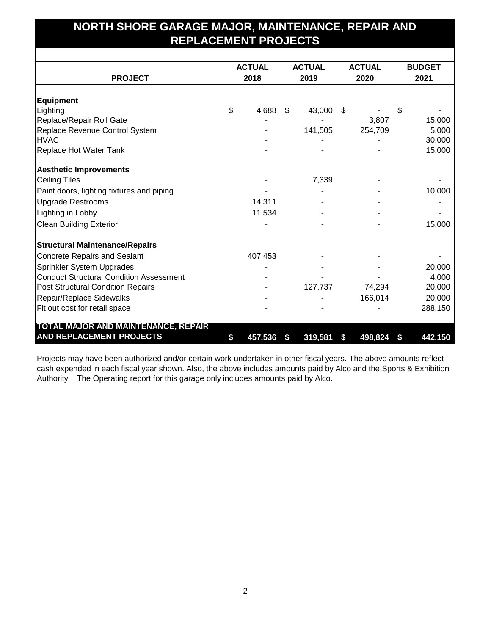## **NORTH SHORE GARAGE MAJOR, MAINTENANCE, REPAIR AND REPLACEMENT PROJECTS**

|                                                |      | <b>ACTUAL</b> | <b>ACTUAL</b> | <b>ACTUAL</b> | <b>BUDGET</b> |         |  |
|------------------------------------------------|------|---------------|---------------|---------------|---------------|---------|--|
| <b>PROJECT</b>                                 | 2018 |               | 2019          | 2020          |               | 2021    |  |
|                                                |      |               |               |               |               |         |  |
| <b>Equipment</b>                               |      |               |               |               |               |         |  |
| Lighting                                       | \$   | 4,688         | \$<br>43,000  | \$            | \$            |         |  |
| Replace/Repair Roll Gate                       |      |               |               | 3,807         |               | 15,000  |  |
| Replace Revenue Control System                 |      |               | 141,505       | 254,709       |               | 5,000   |  |
| <b>HVAC</b>                                    |      |               |               |               |               | 30,000  |  |
| Replace Hot Water Tank                         |      |               |               |               |               | 15,000  |  |
| <b>Aesthetic Improvements</b>                  |      |               |               |               |               |         |  |
| <b>Ceiling Tiles</b>                           |      |               | 7,339         |               |               |         |  |
| Paint doors, lighting fixtures and piping      |      |               |               |               |               | 10,000  |  |
| <b>Upgrade Restrooms</b>                       |      | 14,311        |               |               |               |         |  |
| Lighting in Lobby                              |      | 11,534        |               |               |               |         |  |
| <b>Clean Building Exterior</b>                 |      |               |               |               |               | 15,000  |  |
| <b>Structural Maintenance/Repairs</b>          |      |               |               |               |               |         |  |
| <b>Concrete Repairs and Sealant</b>            |      | 407,453       |               |               |               |         |  |
| Sprinkler System Upgrades                      |      |               |               |               |               | 20,000  |  |
| <b>Conduct Structural Condition Assessment</b> |      |               |               |               |               | 4,000   |  |
| <b>Post Structural Condition Repairs</b>       |      |               | 127,737       | 74,294        |               | 20,000  |  |
| Repair/Replace Sidewalks                       |      |               |               | 166,014       |               | 20,000  |  |
| Fit out cost for retail space                  |      |               |               |               |               | 288,150 |  |
| <b>TOTAL MAJOR AND MAINTENANCE, REPAIR</b>     |      |               |               |               |               |         |  |
| AND REPLACEMENT PROJECTS                       | \$   | 457,536       | \$<br>319,581 | \$<br>498,824 | \$            | 442,150 |  |

Projects may have been authorized and/or certain work undertaken in other fiscal years. The above amounts reflect cash expended in each fiscal year shown. Also, the above includes amounts paid by Alco and the Sports & Exhibition Authority. The Operating report for this garage only includes amounts paid by Alco.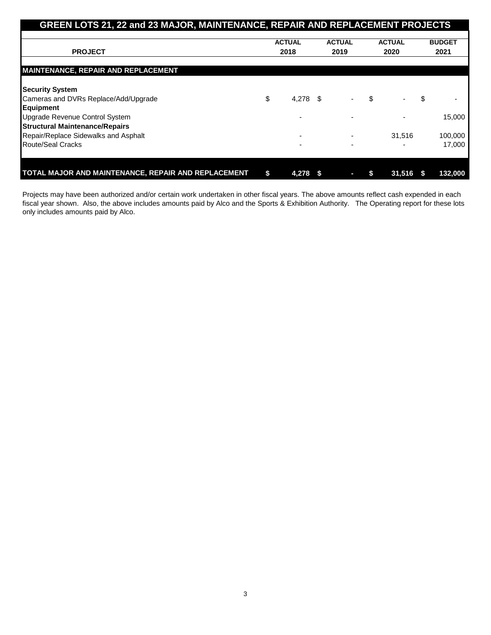| GREEN LOTS 21, 22 and 23 MAJOR, MAINTENANCE, REPAIR AND REPLACEMENT PROJECTS |               |            |               |                          |               |        |               |         |
|------------------------------------------------------------------------------|---------------|------------|---------------|--------------------------|---------------|--------|---------------|---------|
|                                                                              |               |            |               |                          |               |        |               |         |
|                                                                              | <b>ACTUAL</b> |            | <b>ACTUAL</b> |                          | <b>ACTUAL</b> |        | <b>BUDGET</b> |         |
| <b>PROJECT</b>                                                               | 2018          |            | 2019          |                          | 2020          |        |               | 2021    |
| <b>MAINTENANCE, REPAIR AND REPLACEMENT</b>                                   |               |            |               |                          |               |        |               |         |
| <b>Security System</b>                                                       |               |            |               |                          |               |        |               |         |
| Cameras and DVRs Replace/Add/Upgrade                                         | \$            | $4,278$ \$ |               | $\overline{\phantom{a}}$ | \$            |        | \$            |         |
| Equipment                                                                    |               |            |               |                          |               |        |               |         |
| Upgrade Revenue Control System                                               |               |            |               | ۰                        |               |        |               | 15,000  |
| <b>Structural Maintenance/Repairs</b>                                        |               |            |               |                          |               |        |               |         |
| Repair/Replace Sidewalks and Asphalt                                         |               |            |               |                          |               | 31,516 |               | 100,000 |
| Route/Seal Cracks                                                            |               |            |               | ۰                        |               |        |               | 17.000  |
|                                                                              |               |            |               |                          |               |        |               |         |
| TOTAL MAJOR AND MAINTENANCE, REPAIR AND REPLACEMENT                          | \$            | 4,278      |               |                          |               | 31,516 |               | 132,000 |

Projects may have been authorized and/or certain work undertaken in other fiscal years. The above amounts reflect cash expended in each fiscal year shown. Also, the above includes amounts paid by Alco and the Sports & Exhibition Authority. The Operating report for these lots only includes amounts paid by Alco.